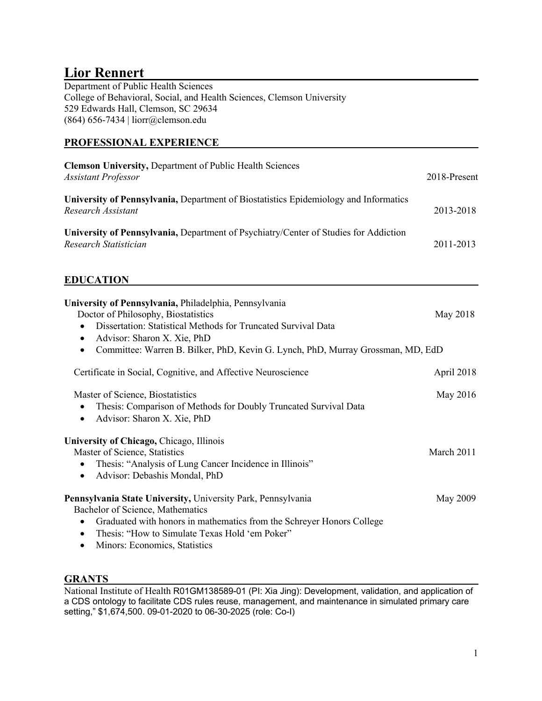# **Lior Rennert**

Department of Public Health Sciences College of Behavioral, Social, and Health Sciences, Clemson University 529 Edwards Hall, Clemson, SC 29634 (864) 656-7434 | liorr@clemson.edu

# **PROFESSIONAL EXPERIENCE**

| <b>Clemson University, Department of Public Health Sciences</b><br><b>Assistant Professor</b>                                                                                                                                                                                                                   | 2018-Present |
|-----------------------------------------------------------------------------------------------------------------------------------------------------------------------------------------------------------------------------------------------------------------------------------------------------------------|--------------|
| University of Pennsylvania, Department of Biostatistics Epidemiology and Informatics<br>Research Assistant                                                                                                                                                                                                      | 2013-2018    |
| University of Pennsylvania, Department of Psychiatry/Center of Studies for Addiction<br>Research Statistician                                                                                                                                                                                                   | 2011-2013    |
| <b>EDUCATION</b>                                                                                                                                                                                                                                                                                                |              |
| University of Pennsylvania, Philadelphia, Pennsylvania<br>Doctor of Philosophy, Biostatistics<br>Dissertation: Statistical Methods for Truncated Survival Data<br>$\bullet$<br>Advisor: Sharon X. Xie, PhD<br>$\bullet$<br>Committee: Warren B. Bilker, PhD, Kevin G. Lynch, PhD, Murray Grossman, MD, EdD<br>٠ | May 2018     |
| Certificate in Social, Cognitive, and Affective Neuroscience                                                                                                                                                                                                                                                    | April 2018   |
| Master of Science, Biostatistics<br>Thesis: Comparison of Methods for Doubly Truncated Survival Data<br>$\bullet$<br>Advisor: Sharon X. Xie, PhD<br>$\bullet$                                                                                                                                                   | May 2016     |
| University of Chicago, Chicago, Illinois<br>Master of Science, Statistics<br>Thesis: "Analysis of Lung Cancer Incidence in Illinois"<br>$\bullet$<br>Advisor: Debashis Mondal, PhD<br>$\bullet$                                                                                                                 | March 2011   |
| Pennsylvania State University, University Park, Pennsylvania<br>Bachelor of Science, Mathematics<br>Graduated with honors in mathematics from the Schreyer Honors College<br>$\bullet$<br>Thesis: "How to Simulate Texas Hold 'em Poker"<br>$\bullet$<br>Minors: Economics, Statistics<br>$\bullet$             | May 2009     |

# **GRANTS**

National Institute of Health R01GM138589-01 (PI: Xia Jing): Development, validation, and application of a CDS ontology to facilitate CDS rules reuse, management, and maintenance in simulated primary care setting," \$1,674,500. 09-01-2020 to 06-30-2025 (role: Co-I)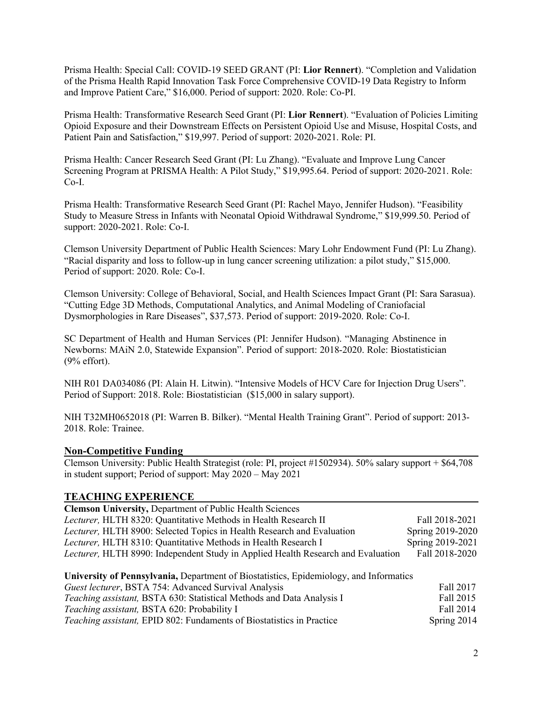Prisma Health: Special Call: COVID-19 SEED GRANT (PI: **Lior Rennert**). "Completion and Validation of the Prisma Health Rapid Innovation Task Force Comprehensive COVID-19 Data Registry to Inform and Improve Patient Care," \$16,000. Period of support: 2020. Role: Co-PI.

Prisma Health: Transformative Research Seed Grant (PI: **Lior Rennert**). "Evaluation of Policies Limiting Opioid Exposure and their Downstream Effects on Persistent Opioid Use and Misuse, Hospital Costs, and Patient Pain and Satisfaction," \$19,997. Period of support: 2020-2021. Role: PI.

Prisma Health: Cancer Research Seed Grant (PI: Lu Zhang). "Evaluate and Improve Lung Cancer Screening Program at PRISMA Health: A Pilot Study," \$19,995.64. Period of support: 2020-2021. Role: Co-I.

Prisma Health: Transformative Research Seed Grant (PI: Rachel Mayo, Jennifer Hudson). "Feasibility Study to Measure Stress in Infants with Neonatal Opioid Withdrawal Syndrome," \$19,999.50. Period of support: 2020-2021. Role: Co-I.

Clemson University Department of Public Health Sciences: Mary Lohr Endowment Fund (PI: Lu Zhang). "Racial disparity and loss to follow-up in lung cancer screening utilization: a pilot study," \$15,000. Period of support: 2020. Role: Co-I.

Clemson University: College of Behavioral, Social, and Health Sciences Impact Grant (PI: Sara Sarasua). "Cutting Edge 3D Methods, Computational Analytics, and Animal Modeling of Craniofacial Dysmorphologies in Rare Diseases", \$37,573. Period of support: 2019-2020. Role: Co-I.

SC Department of Health and Human Services (PI: Jennifer Hudson). "Managing Abstinence in Newborns: MAiN 2.0, Statewide Expansion". Period of support: 2018-2020. Role: Biostatistician (9% effort).

NIH R01 DA034086 (PI: Alain H. Litwin). "Intensive Models of HCV Care for Injection Drug Users". Period of Support: 2018. Role: Biostatistician (\$15,000 in salary support).

NIH T32MH0652018 (PI: Warren B. Bilker). "Mental Health Training Grant". Period of support: 2013- 2018. Role: Trainee.

#### **Non-Competitive Funding**

Clemson University: Public Health Strategist (role: PI, project #1502934). 50% salary support + \$64,708 in student support; Period of support: May 2020 – May 2021

#### **TEACHING EXPERIENCE**

| <b>Clemson University, Department of Public Health Sciences</b>                        |                  |  |  |
|----------------------------------------------------------------------------------------|------------------|--|--|
| Lecturer, HLTH 8320: Quantitative Methods in Health Research II                        | Fall 2018-2021   |  |  |
| Lecturer, HLTH 8900: Selected Topics in Health Research and Evaluation                 | Spring 2019-2020 |  |  |
| Lecturer, HLTH 8310: Quantitative Methods in Health Research I                         | Spring 2019-2021 |  |  |
| Lecturer, HLTH 8990: Independent Study in Applied Health Research and Evaluation       | Fall 2018-2020   |  |  |
|                                                                                        |                  |  |  |
| University of Pennsylvania, Department of Biostatistics, Epidemiology, and Informatics |                  |  |  |
| Guest lecturer, BSTA 754: Advanced Survival Analysis                                   | Fall 2017        |  |  |
| Teaching assistant, BSTA 630: Statistical Methods and Data Analysis I                  | Fall 2015        |  |  |
| Teaching assistant, BSTA 620: Probability I                                            | Fall 2014        |  |  |
| <i>Teaching assistant</i> , EPID 802: Fundaments of Biostatistics in Practice          | Spring 2014      |  |  |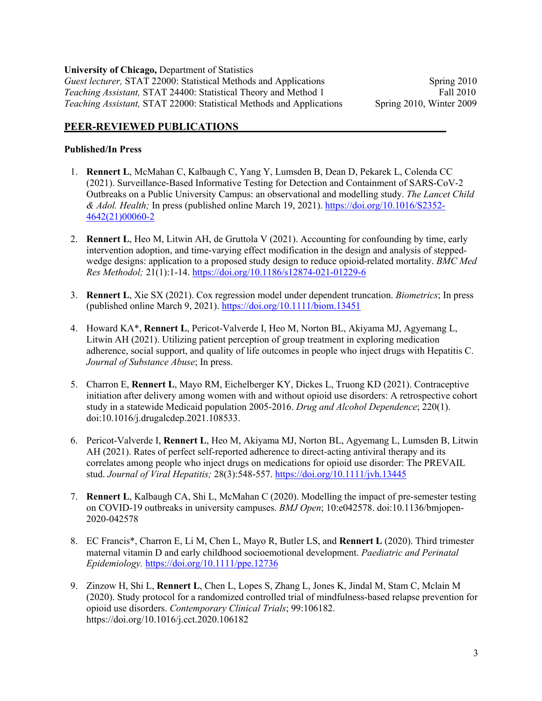**University of Chicago,** Department of Statistics *Guest lecturer,* STAT 22000: Statistical Methods and Applications Spring 2010 *Teaching Assistant,* STAT 24400: Statistical Theory and Method 1 Fall 2010 *Teaching Assistant,* STAT 22000: Statistical Methods and Applications Spring 2010, Winter 2009

### **PEER-REVIEWED PUBLICATIONS**

#### **Published/In Press**

- 1. **Rennert L**, McMahan C, Kalbaugh C, Yang Y, Lumsden B, Dean D, Pekarek L, Colenda CC (2021). Surveillance-Based Informative Testing for Detection and Containment of SARS-CoV-2 Outbreaks on a Public University Campus: an observational and modelling study. *The Lancet Child & Adol. Health;* In press (published online March 19, 2021). https://doi.org/10.1016/S2352- 4642(21)00060-2
- 2. **Rennert L**, Heo M, Litwin AH, de Gruttola V (2021). Accounting for confounding by time, early intervention adoption, and time-varying effect modification in the design and analysis of steppedwedge designs: application to a proposed study design to reduce opioid-related mortality. *BMC Med Res Methodol;* 21(1):1-14. https://doi.org/10.1186/s12874-021-01229-6
- 3. **Rennert L**, Xie SX (2021). Cox regression model under dependent truncation. *Biometrics*; In press (published online March 9, 2021). https://doi.org/10.1111/biom.13451
- 4. Howard KA\*, **Rennert L**, Pericot-Valverde I, Heo M, Norton BL, Akiyama MJ, Agyemang L, Litwin AH (2021). Utilizing patient perception of group treatment in exploring medication adherence, social support, and quality of life outcomes in people who inject drugs with Hepatitis C. *Journal of Substance Abuse*; In press.
- 5. Charron E, **Rennert L**, Mayo RM, Eichelberger KY, Dickes L, Truong KD (2021). Contraceptive initiation after delivery among women with and without opioid use disorders: A retrospective cohort study in a statewide Medicaid population 2005-2016. *Drug and Alcohol Dependence*; 220(1). doi:10.1016/j.drugalcdep.2021.108533.
- 6. Pericot-Valverde I, **Rennert L**, Heo M, Akiyama MJ, Norton BL, Agyemang L, Lumsden B, Litwin AH (2021). Rates of perfect self-reported adherence to direct-acting antiviral therapy and its correlates among people who inject drugs on medications for opioid use disorder: The PREVAIL stud. *Journal of Viral Hepatitis;* 28(3):548-557. https://doi.org/10.1111/jvh.13445
- 7. **Rennert L**, Kalbaugh CA, Shi L, McMahan C (2020). Modelling the impact of pre-semester testing on COVID-19 outbreaks in university campuses. *BMJ Open*; 10:e042578. doi:10.1136/bmjopen-2020-042578
- 8. EC Francis\*, Charron E, Li M, Chen L, Mayo R, Butler LS, and **Rennert L** (2020). Third trimester maternal vitamin D and early childhood socioemotional development. *Paediatric and Perinatal Epidemiology.* https://doi.org/10.1111/ppe.12736
- 9. Zinzow H, Shi L, **Rennert L**, Chen L, Lopes S, Zhang L, Jones K, Jindal M, Stam C, Mclain M (2020). Study protocol for a randomized controlled trial of mindfulness-based relapse prevention for opioid use disorders. *Contemporary Clinical Trials*; 99:106182. https://doi.org/10.1016/j.cct.2020.106182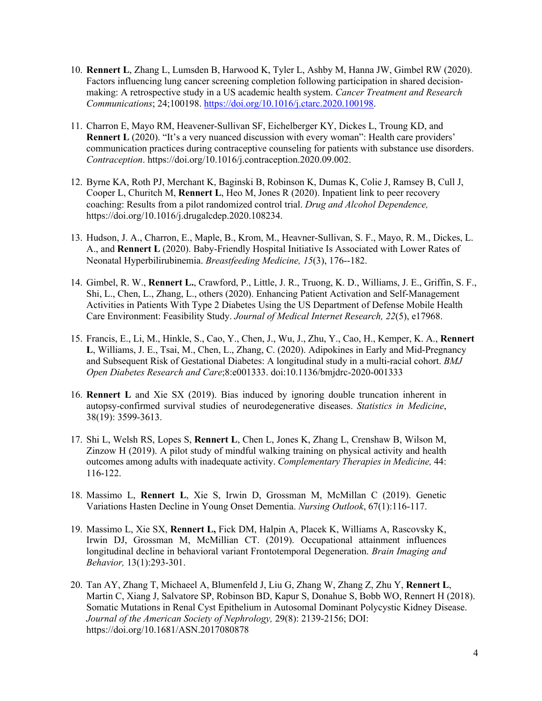- 10. **Rennert L**, Zhang L, Lumsden B, Harwood K, Tyler L, Ashby M, Hanna JW, Gimbel RW (2020). Factors influencing lung cancer screening completion following participation in shared decisionmaking: A retrospective study in a US academic health system. *Cancer Treatment and Research Communications*; 24;100198. https://doi.org/10.1016/j.ctarc.2020.100198.
- 11. Charron E, Mayo RM, Heavener-Sullivan SF, Eichelberger KY, Dickes L, Troung KD, and **Rennert L** (2020). "It's a very nuanced discussion with every woman": Health care providers' communication practices during contraceptive counseling for patients with substance use disorders. *Contraception*. https://doi.org/10.1016/j.contraception.2020.09.002.
- 12. Byrne KA, Roth PJ, Merchant K, Baginski B, Robinson K, Dumas K, Colie J, Ramsey B, Cull J, Cooper L, Churitch M, **Rennert L**, Heo M, Jones R (2020). Inpatient link to peer recovery coaching: Results from a pilot randomized control trial. *Drug and Alcohol Dependence,*  https://doi.org/10.1016/j.drugalcdep.2020.108234.
- 13. Hudson, J. A., Charron, E., Maple, B., Krom, M., Heavner-Sullivan, S. F., Mayo, R. M., Dickes, L. A., and **Rennert L** (2020). Baby-Friendly Hospital Initiative Is Associated with Lower Rates of Neonatal Hyperbilirubinemia. *Breastfeeding Medicine, 15*(3), 176--182.
- 14. Gimbel, R. W., **Rennert L.**, Crawford, P., Little, J. R., Truong, K. D., Williams, J. E., Griffin, S. F., Shi, L., Chen, L., Zhang, L., others (2020). Enhancing Patient Activation and Self-Management Activities in Patients With Type 2 Diabetes Using the US Department of Defense Mobile Health Care Environment: Feasibility Study. *Journal of Medical Internet Research, 22*(5), e17968.
- 15. Francis, E., Li, M., Hinkle, S., Cao, Y., Chen, J., Wu, J., Zhu, Y., Cao, H., Kemper, K. A., **Rennert L**, Williams, J. E., Tsai, M., Chen, L., Zhang, C. (2020). Adipokines in Early and Mid-Pregnancy and Subsequent Risk of Gestational Diabetes: A longitudinal study in a multi-racial cohort. *BMJ Open Diabetes Research and Care*;8:e001333. doi:10.1136/bmjdrc-2020-001333
- 16. **Rennert L** and Xie SX (2019). Bias induced by ignoring double truncation inherent in autopsy-confirmed survival studies of neurodegenerative diseases. *Statistics in Medicine*, 38(19): 3599-3613.
- 17. Shi L, Welsh RS, Lopes S, **Rennert L**, Chen L, Jones K, Zhang L, Crenshaw B, Wilson M, Zinzow H (2019). A pilot study of mindful walking training on physical activity and health outcomes among adults with inadequate activity. *Complementary Therapies in Medicine,* 44: 116-122.
- 18. Massimo L, **Rennert L**, Xie S, Irwin D, Grossman M, McMillan C (2019). Genetic Variations Hasten Decline in Young Onset Dementia. *Nursing Outlook*, 67(1):116-117.
- 19. Massimo L, Xie SX, **Rennert L,** Fick DM, Halpin A, Placek K, Williams A, Rascovsky K, Irwin DJ, Grossman M, McMillian CT. (2019). Occupational attainment influences longitudinal decline in behavioral variant Frontotemporal Degeneration. *Brain Imaging and Behavior,* 13(1):293-301.
- 20. Tan AY, Zhang T, Michaeel A, Blumenfeld J, Liu G, Zhang W, Zhang Z, Zhu Y, **Rennert L**, Martin C, Xiang J, Salvatore SP, Robinson BD, Kapur S, Donahue S, Bobb WO, Rennert H (2018). Somatic Mutations in Renal Cyst Epithelium in Autosomal Dominant Polycystic Kidney Disease. *Journal of the American Society of Nephrology,* 29(8): 2139-2156; DOI: https://doi.org/10.1681/ASN.2017080878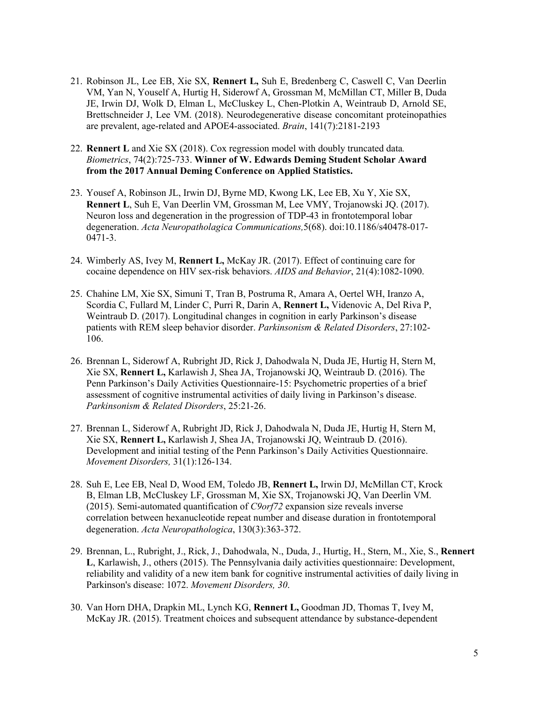- 21. Robinson JL, Lee EB, Xie SX, **Rennert L,** Suh E, Bredenberg C, Caswell C, Van Deerlin VM, Yan N, Youself A, Hurtig H, Siderowf A, Grossman M, McMillan CT, Miller B, Duda JE, Irwin DJ, Wolk D, Elman L, McCluskey L, Chen-Plotkin A, Weintraub D, Arnold SE, Brettschneider J, Lee VM. (2018). Neurodegenerative disease concomitant proteinopathies are prevalent, age-related and APOE4-associated. *Brain*, 141(7):2181-2193
- 22. **Rennert L** and Xie SX (2018). Cox regression model with doubly truncated data*. Biometrics*, 74(2):725-733. **Winner of W. Edwards Deming Student Scholar Award from the 2017 Annual Deming Conference on Applied Statistics.**
- 23. Yousef A, Robinson JL, Irwin DJ, Byrne MD, Kwong LK, Lee EB, Xu Y, Xie SX, **Rennert L**, Suh E, Van Deerlin VM, Grossman M, Lee VMY, Trojanowski JQ. (2017). Neuron loss and degeneration in the progression of TDP-43 in frontotemporal lobar degeneration. *Acta Neuropatholagica Communications,*5(68). doi:10.1186/s40478-017- 0471-3.
- 24. Wimberly AS, Ivey M, **Rennert L,** McKay JR. (2017). Effect of continuing care for cocaine dependence on HIV sex-risk behaviors. *AIDS and Behavior*, 21(4):1082-1090.
- 25. Chahine LM, Xie SX, Simuni T, Tran B, Postruma R, Amara A, Oertel WH, Iranzo A, Scordia C, Fullard M, Linder C, Purri R, Darin A, **Rennert L,** Videnovic A, Del Riva P, Weintraub D. (2017). Longitudinal changes in cognition in early Parkinson's disease patients with REM sleep behavior disorder. *Parkinsonism & Related Disorders*, 27:102- 106.
- 26. Brennan L, Siderowf A, Rubright JD, Rick J, Dahodwala N, Duda JE, Hurtig H, Stern M, Xie SX, **Rennert L,** Karlawish J, Shea JA, Trojanowski JQ, Weintraub D. (2016). The Penn Parkinson's Daily Activities Questionnaire-15: Psychometric properties of a brief assessment of cognitive instrumental activities of daily living in Parkinson's disease. *Parkinsonism & Related Disorders*, 25:21-26.
- 27. Brennan L, Siderowf A, Rubright JD, Rick J, Dahodwala N, Duda JE, Hurtig H, Stern M, Xie SX, **Rennert L,** Karlawish J, Shea JA, Trojanowski JQ, Weintraub D. (2016). Development and initial testing of the Penn Parkinson's Daily Activities Questionnaire. *Movement Disorders,* 31(1):126-134.
- 28. Suh E, Lee EB, Neal D, Wood EM, Toledo JB, **Rennert L,** Irwin DJ, McMillan CT, Krock B, Elman LB, McCluskey LF, Grossman M, Xie SX, Trojanowski JQ, Van Deerlin VM. (2015). Semi-automated quantification of *C9orf72* expansion size reveals inverse correlation between hexanucleotide repeat number and disease duration in frontotemporal degeneration. *Acta Neuropathologica*, 130(3):363-372.
- 29. Brennan, L., Rubright, J., Rick, J., Dahodwala, N., Duda, J., Hurtig, H., Stern, M., Xie, S., **Rennert L**, Karlawish, J., others (2015). The Pennsylvania daily activities questionnaire: Development, reliability and validity of a new item bank for cognitive instrumental activities of daily living in Parkinson's disease: 1072. *Movement Disorders, 30*.
- 30. Van Horn DHA, Drapkin ML, Lynch KG, **Rennert L,** Goodman JD, Thomas T, Ivey M, McKay JR. (2015). Treatment choices and subsequent attendance by substance-dependent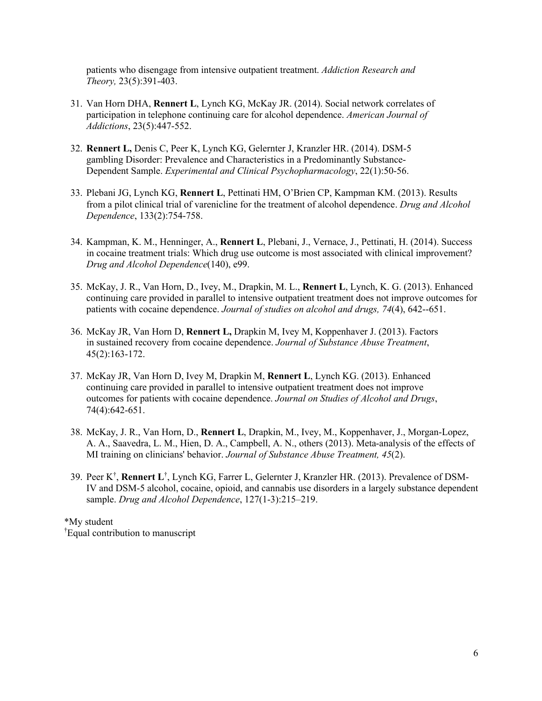patients who disengage from intensive outpatient treatment. *Addiction Research and Theory,* 23(5):391-403.

- 31. Van Horn DHA, **Rennert L**, Lynch KG, McKay JR. (2014). Social network correlates of participation in telephone continuing care for alcohol dependence. *American Journal of Addictions*, 23(5):447-552.
- 32. **Rennert L,** Denis C, Peer K, Lynch KG, Gelernter J, Kranzler HR. (2014). DSM-5 gambling Disorder: Prevalence and Characteristics in a Predominantly Substance-Dependent Sample. *Experimental and Clinical Psychopharmacology*, 22(1):50-56.
- 33. Plebani JG, Lynch KG, **Rennert L**, Pettinati HM, O'Brien CP, Kampman KM. (2013). Results from a pilot clinical trial of varenicline for the treatment of alcohol dependence. *Drug and Alcohol Dependence*, 133(2):754-758.
- 34. Kampman, K. M., Henninger, A., **Rennert L**, Plebani, J., Vernace, J., Pettinati, H. (2014). Success in cocaine treatment trials: Which drug use outcome is most associated with clinical improvement? *Drug and Alcohol Dependence*(140), e99.
- 35. McKay, J. R., Van Horn, D., Ivey, M., Drapkin, M. L., **Rennert L**, Lynch, K. G. (2013). Enhanced continuing care provided in parallel to intensive outpatient treatment does not improve outcomes for patients with cocaine dependence. *Journal of studies on alcohol and drugs, 74*(4), 642--651.
- 36. McKay JR, Van Horn D, **Rennert L,** Drapkin M, Ivey M, Koppenhaver J. (2013). Factors in sustained recovery from cocaine dependence. *Journal of Substance Abuse Treatment*, 45(2):163-172.
- 37. McKay JR, Van Horn D, Ivey M, Drapkin M, **Rennert L**, Lynch KG. (2013). Enhanced continuing care provided in parallel to intensive outpatient treatment does not improve outcomes for patients with cocaine dependence. *Journal on Studies of Alcohol and Drugs*, 74(4):642-651.
- 38. McKay, J. R., Van Horn, D., **Rennert L**, Drapkin, M., Ivey, M., Koppenhaver, J., Morgan-Lopez, A. A., Saavedra, L. M., Hien, D. A., Campbell, A. N., others (2013). Meta-analysis of the effects of MI training on clinicians' behavior. *Journal of Substance Abuse Treatment, 45*(2).
- 39. Peer K† , **Rennert L**† , Lynch KG, Farrer L, Gelernter J, Kranzler HR. (2013). Prevalence of DSM-IV and DSM-5 alcohol, cocaine, opioid, and cannabis use disorders in a largely substance dependent sample. *Drug and Alcohol Dependence*, 127(1-3):215–219.

\*My student † Equal contribution to manuscript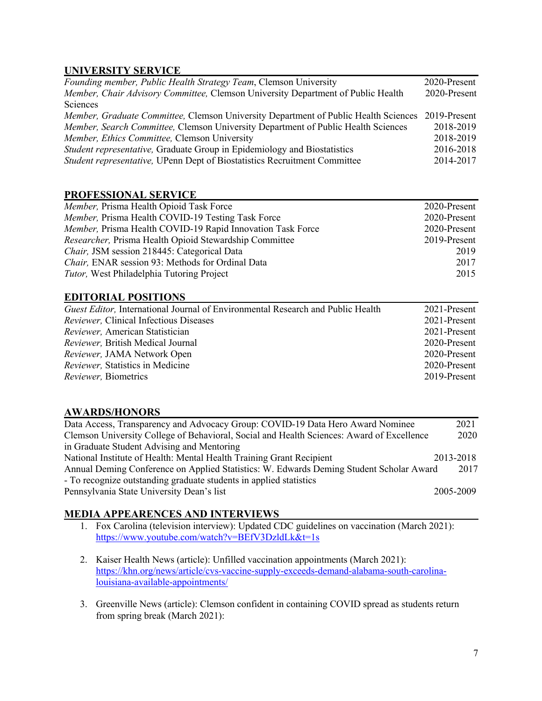# **UNIVERSITY SERVICE**

| 2020-Present                                                                                     |
|--------------------------------------------------------------------------------------------------|
| 2020-Present                                                                                     |
|                                                                                                  |
| Member, Graduate Committee, Clemson University Department of Public Health Sciences 2019-Present |
| 2018-2019                                                                                        |
| 2018-2019                                                                                        |
| 2016-2018                                                                                        |
| 2014-2017                                                                                        |
|                                                                                                  |

### **PROFESSIONAL SERVICE**

| Member, Prisma Health Opioid Task Force                    | 2020-Present |
|------------------------------------------------------------|--------------|
| Member, Prisma Health COVID-19 Testing Task Force          | 2020-Present |
| Member, Prisma Health COVID-19 Rapid Innovation Task Force | 2020-Present |
| Researcher, Prisma Health Opioid Stewardship Committee     | 2019-Present |
| Chair, JSM session 218445: Categorical Data                | 2019         |
| Chair, ENAR session 93: Methods for Ordinal Data           | 2017         |
| <i>Tutor</i> , West Philadelphia Tutoring Project          | 2015         |

### **EDITORIAL POSITIONS**

| <i>Guest Editor</i> , International Journal of Environmental Research and Public Health | 2021-Present |
|-----------------------------------------------------------------------------------------|--------------|
| <i>Reviewer</i> , Clinical Infectious Diseases                                          | 2021-Present |
| Reviewer, American Statistician                                                         | 2021-Present |
| Reviewer, British Medical Journal                                                       | 2020-Present |
| Reviewer, JAMA Network Open                                                             | 2020-Present |
| Reviewer, Statistics in Medicine                                                        | 2020-Present |
| <i>Reviewer</i> , Biometrics                                                            | 2019-Present |

# **AWARDS/HONORS**

| Data Access, Transparency and Advocacy Group: COVID-19 Data Hero Award Nominee            | 2021      |
|-------------------------------------------------------------------------------------------|-----------|
| Clemson University College of Behavioral, Social and Health Sciences: Award of Excellence | 2020      |
| in Graduate Student Advising and Mentoring                                                |           |
| National Institute of Health: Mental Health Training Grant Recipient                      | 2013-2018 |
| Annual Deming Conference on Applied Statistics: W. Edwards Deming Student Scholar Award   | 2017      |
| - To recognize outstanding graduate students in applied statistics                        |           |
| Pennsylvania State University Dean's list                                                 | 2005-2009 |

# **MEDIA APPEARENCES AND INTERVIEWS**

- 1. Fox Carolina (television interview): Updated CDC guidelines on vaccination (March 2021): https://www.youtube.com/watch?v=BEfV3DzldLk&t=1s
- 2. Kaiser Health News (article): Unfilled vaccination appointments (March 2021): https://khn.org/news/article/cvs-vaccine-supply-exceeds-demand-alabama-south-carolinalouisiana-available-appointments/
- 3. Greenville News (article): Clemson confident in containing COVID spread as students return from spring break (March 2021):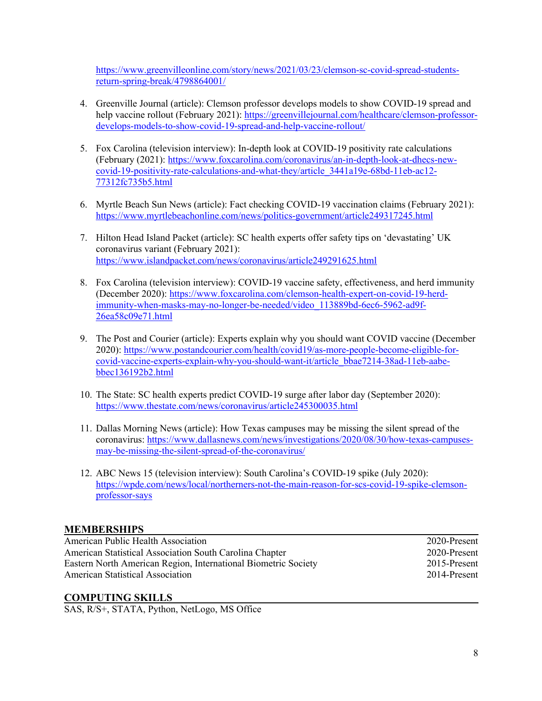https://www.greenvilleonline.com/story/news/2021/03/23/clemson-sc-covid-spread-studentsreturn-spring-break/4798864001/

- 4. Greenville Journal (article): Clemson professor develops models to show COVID-19 spread and help vaccine rollout (February 2021): https://greenvillejournal.com/healthcare/clemson-professordevelops-models-to-show-covid-19-spread-and-help-vaccine-rollout/
- 5. Fox Carolina (television interview): In-depth look at COVID-19 positivity rate calculations (February (2021): https://www.foxcarolina.com/coronavirus/an-in-depth-look-at-dhecs-newcovid-19-positivity-rate-calculations-and-what-they/article\_3441a19e-68bd-11eb-ac12- 77312fc735b5.html
- 6. Myrtle Beach Sun News (article): Fact checking COVID-19 vaccination claims (February 2021): https://www.myrtlebeachonline.com/news/politics-government/article249317245.html
- 7. Hilton Head Island Packet (article): SC health experts offer safety tips on 'devastating' UK coronavirus variant (February 2021): https://www.islandpacket.com/news/coronavirus/article249291625.html
- 8. Fox Carolina (television interview): COVID-19 vaccine safety, effectiveness, and herd immunity (December 2020): https://www.foxcarolina.com/clemson-health-expert-on-covid-19-herdimmunity-when-masks-may-no-longer-be-needed/video\_113889bd-6ec6-5962-ad9f-26ea58c09e71.html
- 9. The Post and Courier (article): Experts explain why you should want COVID vaccine (December 2020): https://www.postandcourier.com/health/covid19/as-more-people-become-eligible-forcovid-vaccine-experts-explain-why-you-should-want-it/article\_bbae7214-38ad-11eb-aabebbec136192b2.html
- 10. The State: SC health experts predict COVID-19 surge after labor day (September 2020): https://www.thestate.com/news/coronavirus/article245300035.html
- 11. Dallas Morning News (article): How Texas campuses may be missing the silent spread of the coronavirus: https://www.dallasnews.com/news/investigations/2020/08/30/how-texas-campusesmay-be-missing-the-silent-spread-of-the-coronavirus/
- 12. ABC News 15 (television interview): South Carolina's COVID-19 spike (July 2020): https://wpde.com/news/local/northerners-not-the-main-reason-for-scs-covid-19-spike-clemsonprofessor-says

# **MEMBERSHIPS**

| American Public Health Association                             | 2020-Present |
|----------------------------------------------------------------|--------------|
| American Statistical Association South Carolina Chapter        | 2020-Present |
| Eastern North American Region, International Biometric Society | 2015-Present |
| <b>American Statistical Association</b>                        | 2014-Present |

#### **COMPUTING SKILLS**

SAS, R/S+, STATA, Python, NetLogo, MS Office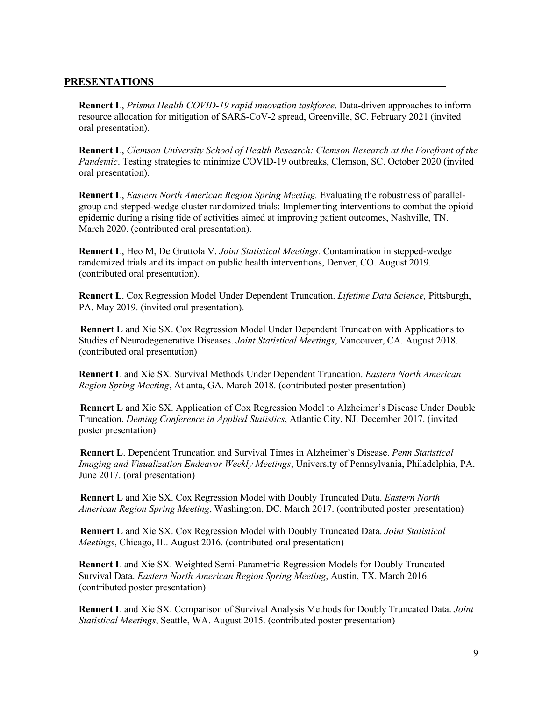#### **PRESENTATIONS**

**Rennert L**, *Prisma Health COVID-19 rapid innovation taskforce*. Data-driven approaches to inform resource allocation for mitigation of SARS-CoV-2 spread, Greenville, SC. February 2021 (invited oral presentation).

**Rennert L**, *Clemson University School of Health Research: Clemson Research at the Forefront of the Pandemic*. Testing strategies to minimize COVID-19 outbreaks, Clemson, SC. October 2020 (invited oral presentation).

**Rennert L**, *Eastern North American Region Spring Meeting.* Evaluating the robustness of parallelgroup and stepped-wedge cluster randomized trials: Implementing interventions to combat the opioid epidemic during a rising tide of activities aimed at improving patient outcomes, Nashville, TN. March 2020. (contributed oral presentation).

**Rennert L**, Heo M, De Gruttola V. *Joint Statistical Meetings.* Contamination in stepped-wedge randomized trials and its impact on public health interventions, Denver, CO. August 2019. (contributed oral presentation).

**Rennert L**. Cox Regression Model Under Dependent Truncation. *Lifetime Data Science,* Pittsburgh, PA. May 2019. (invited oral presentation).

**Rennert L** and Xie SX. Cox Regression Model Under Dependent Truncation with Applications to Studies of Neurodegenerative Diseases. *Joint Statistical Meetings*, Vancouver, CA. August 2018. (contributed oral presentation)

**Rennert L** and Xie SX. Survival Methods Under Dependent Truncation. *Eastern North American Region Spring Meeting*, Atlanta, GA. March 2018. (contributed poster presentation)

**Rennert L** and Xie SX. Application of Cox Regression Model to Alzheimer's Disease Under Double Truncation. *Deming Conference in Applied Statistics*, Atlantic City, NJ. December 2017. (invited poster presentation)

**Rennert L**. Dependent Truncation and Survival Times in Alzheimer's Disease. *Penn Statistical Imaging and Visualization Endeavor Weekly Meetings*, University of Pennsylvania, Philadelphia, PA. June 2017. (oral presentation)

**Rennert L** and Xie SX. Cox Regression Model with Doubly Truncated Data. *Eastern North American Region Spring Meeting*, Washington, DC. March 2017. (contributed poster presentation)

**Rennert L** and Xie SX. Cox Regression Model with Doubly Truncated Data. *Joint Statistical Meetings*, Chicago, IL. August 2016. (contributed oral presentation)

**Rennert L** and Xie SX. Weighted Semi-Parametric Regression Models for Doubly Truncated Survival Data. *Eastern North American Region Spring Meeting*, Austin, TX. March 2016. (contributed poster presentation)

**Rennert L** and Xie SX. Comparison of Survival Analysis Methods for Doubly Truncated Data. *Joint Statistical Meetings*, Seattle, WA. August 2015. (contributed poster presentation)